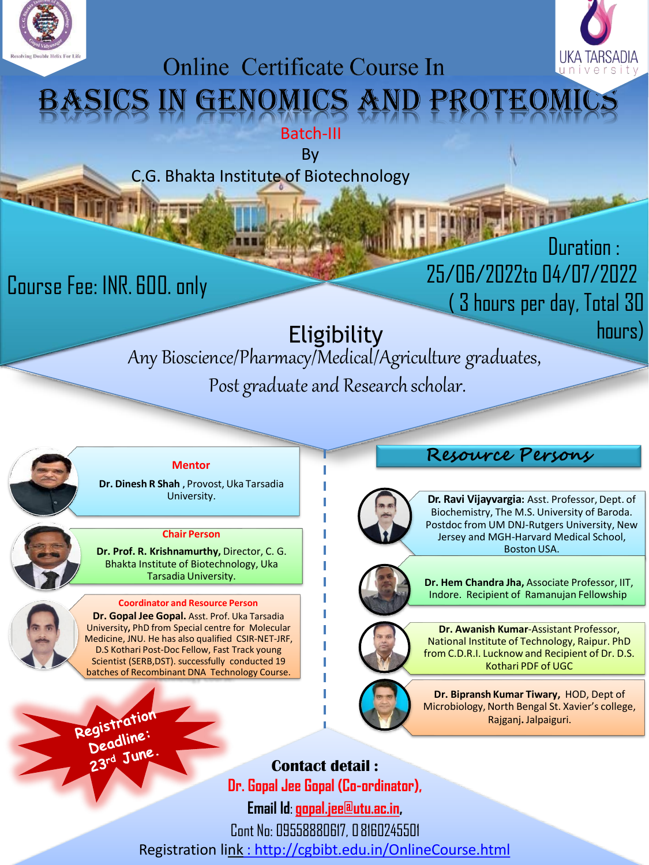



# **Online Certificate Course In** ENOMICS

Batch-III

By

C.G. Bhakta Institute of Biotechnology

Course Fee: INR. 600. only

Duration : 25/06/2022to 04/07/2022 ( 3 hours per day, Total 30 hours)

## Eligibility

Any Bioscience/Pharmacy/Medical/Agriculture graduates, Post graduate and Research scholar.



#### **Mentor**

**Dr. Dinesh R Shah ,** Provost, Uka Tarsadia University.

#### **Chair Person**

**Dr. Prof. R. Krishnamurthy,** Director, C. G. Bhakta Institute of Biotechnology, Uka Tarsadia University.

#### **Coordinator and Resource Person**

**Dr. Gopal Jee Gopal.** Asst. Prof. Uka Tarsadia University**,** PhD from Special centre for Molecular Medicine, JNU. He has also qualified CSIR-NET-JRF, D.S Kothari Post-Doc Fellow, Fast Track young Scientist (SERB,DST). successfully conducted 19 batches of Recombinant DNA Technology Course.

### **Resource Persons**



**Dr. Ravi Vijayvargia:** Asst. Professor, Dept. of Biochemistry, The M.S. University of Baroda. Postdoc from UM DNJ-Rutgers University, New Jersey and MGH-Harvard Medical School, Boston USA.



**Dr. Hem Chandra Jha,** Associate Professor, IIT, Indore. Recipient of Ramanujan Fellowship



**Dr. Awanish Kumar**-Assistant Professor, National Institute of Technology, Raipur. PhD from C.D.R.I. Lucknow and Recipient of Dr. D.S. Kothari PDF of UGC



**Dr. Bipransh Kumar Tiwary,** HOD, Dept of Microbiology,North Bengal St. Xavier's college, Rajganj**.** Jalpaiguri.

Registration egistru.<br>Deadline: Deau...<br>23rd June

**Contact detail : Dr. Gopal Jee Gopal (Co-ordinator), Email Id**: **[gopal.jee@utu.ac.in,](mailto:gopal.jee@utu.ac.in)** Cont No: 09558880617, 08160245501 Registration link [: http://cgbibt.edu.in/OnlineCourse.html](http://cgbibt.edu.in/OnlineCourse.html)